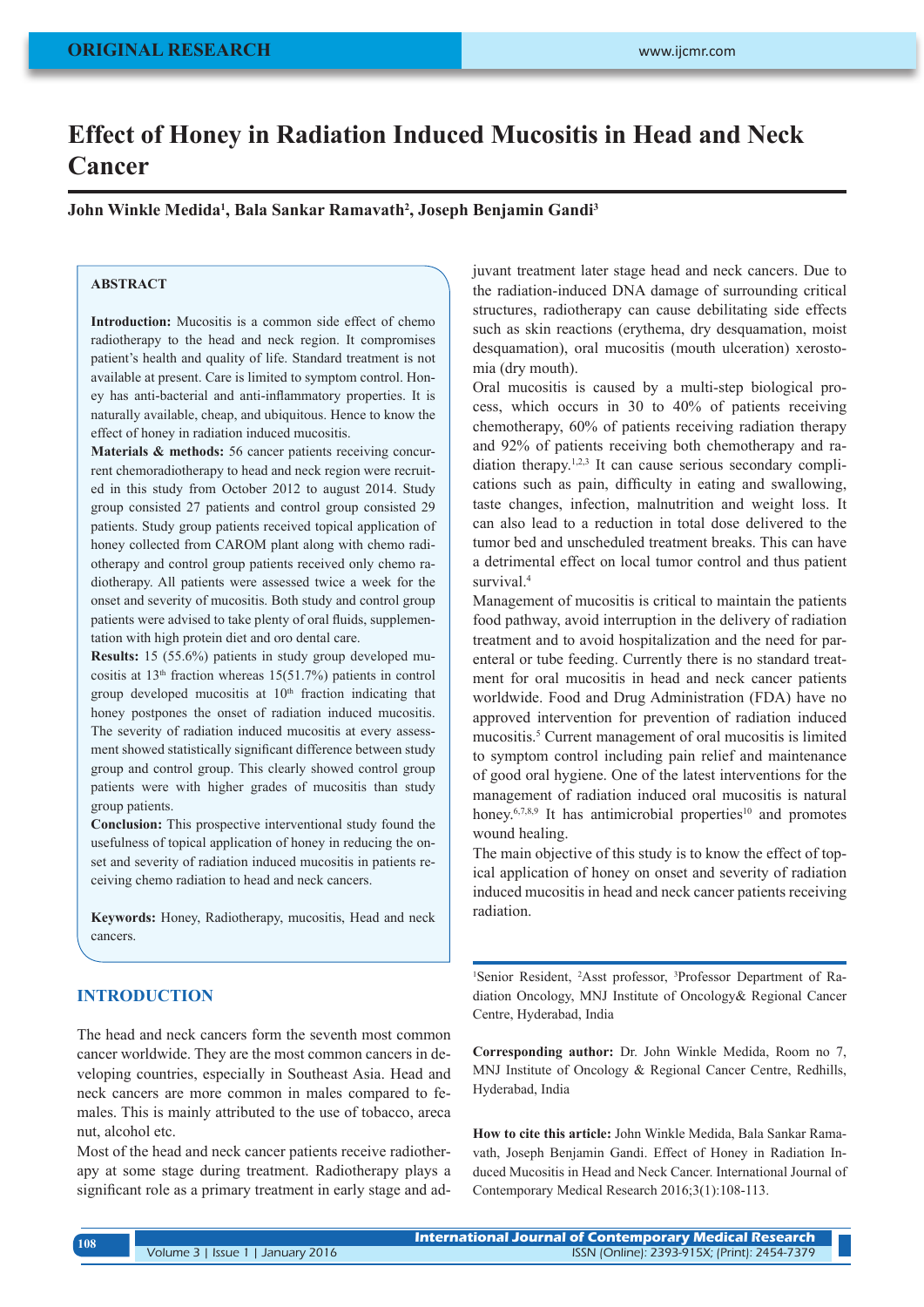# **Effect of Honey in Radiation Induced Mucositis in Head and Neck Cancer**

**John Winkle Medida1 , Bala Sankar Ramavath2 , Joseph Benjamin Gandi3**

# **ABSTRACT**

**Introduction:** Mucositis is a common side effect of chemo radiotherapy to the head and neck region. It compromises patient's health and quality of life. Standard treatment is not available at present. Care is limited to symptom control. Honey has anti-bacterial and anti-inflammatory properties. It is naturally available, cheap, and ubiquitous. Hence to know the effect of honey in radiation induced mucositis.

**Materials & methods:** 56 cancer patients receiving concurrent chemoradiotherapy to head and neck region were recruited in this study from October 2012 to august 2014. Study group consisted 27 patients and control group consisted 29 patients. Study group patients received topical application of honey collected from CAROM plant along with chemo radiotherapy and control group patients received only chemo radiotherapy. All patients were assessed twice a week for the onset and severity of mucositis. Both study and control group patients were advised to take plenty of oral fluids, supplementation with high protein diet and oro dental care.

**Results:** 15 (55.6%) patients in study group developed mucositis at  $13<sup>th</sup>$  fraction whereas  $15(51.7%)$  patients in control group developed mucositis at  $10<sup>th</sup>$  fraction indicating that honey postpones the onset of radiation induced mucositis. The severity of radiation induced mucositis at every assessment showed statistically significant difference between study group and control group. This clearly showed control group patients were with higher grades of mucositis than study group patients.

**Conclusion:** This prospective interventional study found the usefulness of topical application of honey in reducing the onset and severity of radiation induced mucositis in patients receiving chemo radiation to head and neck cancers.

**Keywords:** Honey, Radiotherapy, mucositis, Head and neck cancers.

# **INTRODUCTION**

The head and neck cancers form the seventh most common cancer worldwide. They are the most common cancers in developing countries, especially in Southeast Asia. Head and neck cancers are more common in males compared to females. This is mainly attributed to the use of tobacco, areca nut, alcohol etc.

Most of the head and neck cancer patients receive radiotherapy at some stage during treatment. Radiotherapy plays a significant role as a primary treatment in early stage and adjuvant treatment later stage head and neck cancers. Due to the radiation-induced DNA damage of surrounding critical structures, radiotherapy can cause debilitating side effects such as skin reactions (erythema, dry desquamation, moist desquamation), oral mucositis (mouth ulceration) xerostomia (dry mouth).

Oral mucositis is caused by a multi-step biological process, which occurs in 30 to 40% of patients receiving chemotherapy, 60% of patients receiving radiation therapy and 92% of patients receiving both chemotherapy and radiation therapy.1,2,3 It can cause serious secondary complications such as pain, difficulty in eating and swallowing, taste changes, infection, malnutrition and weight loss. It can also lead to a reduction in total dose delivered to the tumor bed and unscheduled treatment breaks. This can have a detrimental effect on local tumor control and thus patient survival.<sup>4</sup>

Management of mucositis is critical to maintain the patients food pathway, avoid interruption in the delivery of radiation treatment and to avoid hospitalization and the need for parenteral or tube feeding. Currently there is no standard treatment for oral mucositis in head and neck cancer patients worldwide. Food and Drug Administration (FDA) have no approved intervention for prevention of radiation induced mucositis.5 Current management of oral mucositis is limited to symptom control including pain relief and maintenance of good oral hygiene. One of the latest interventions for the management of radiation induced oral mucositis is natural honey. $6,7,8,9$  It has antimicrobial properties<sup>10</sup> and promotes wound healing.

The main objective of this study is to know the effect of topical application of honey on onset and severity of radiation induced mucositis in head and neck cancer patients receiving radiation.

<sup>1</sup>Senior Resident, <sup>2</sup>Asst professor, <sup>3</sup>Professor Department of Radiation Oncology, MNJ Institute of Oncology& Regional Cancer Centre, Hyderabad, India

**Corresponding author:** Dr. John Winkle Medida, Room no 7, MNJ Institute of Oncology & Regional Cancer Centre, Redhills, Hyderabad, India

**How to cite this article:** John Winkle Medida, Bala Sankar Ramavath, Joseph Benjamin Gandi. Effect of Honey in Radiation Induced Mucositis in Head and Neck Cancer. International Journal of Contemporary Medical Research 2016;3(1):108-113.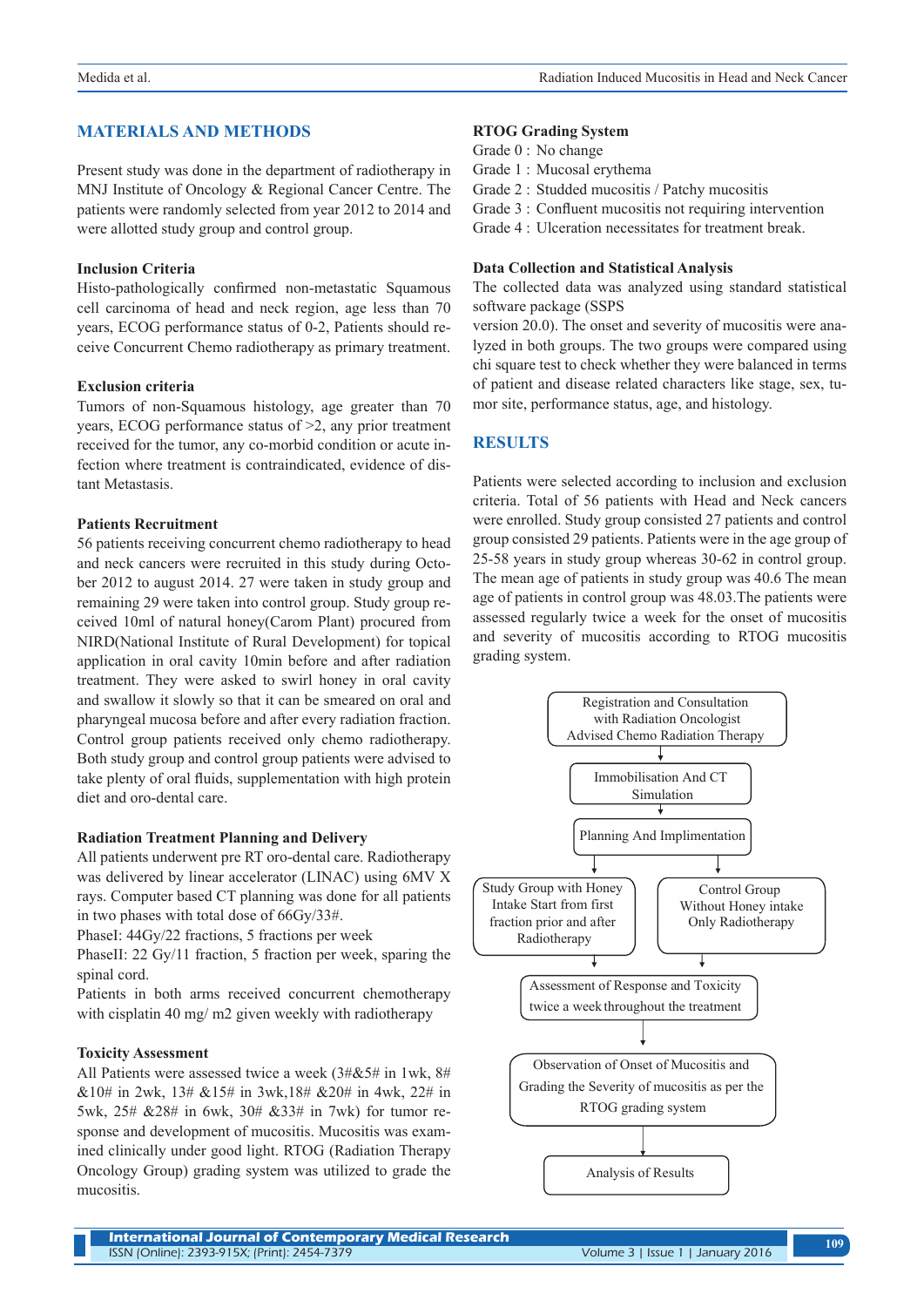# **MATERIALS AND METHODS**

Present study was done in the department of radiotherapy in MNJ Institute of Oncology & Regional Cancer Centre. The patients were randomly selected from year 2012 to 2014 and were allotted study group and control group.

#### **Inclusion Criteria**

Histo-pathologically confirmed non-metastatic Squamous cell carcinoma of head and neck region, age less than 70 years, ECOG performance status of 0-2, Patients should receive Concurrent Chemo radiotherapy as primary treatment.

#### **Exclusion criteria**

Tumors of non-Squamous histology, age greater than 70 years, ECOG performance status of >2, any prior treatment received for the tumor, any co-morbid condition or acute infection where treatment is contraindicated, evidence of distant Metastasis.

### **Patients Recruitment**

56 patients receiving concurrent chemo radiotherapy to head and neck cancers were recruited in this study during October 2012 to august 2014. 27 were taken in study group and remaining 29 were taken into control group. Study group received 10ml of natural honey(Carom Plant) procured from NIRD(National Institute of Rural Development) for topical application in oral cavity 10min before and after radiation treatment. They were asked to swirl honey in oral cavity and swallow it slowly so that it can be smeared on oral and pharyngeal mucosa before and after every radiation fraction. Control group patients received only chemo radiotherapy. Both study group and control group patients were advised to take plenty of oral fluids, supplementation with high protein diet and oro-dental care.

#### **Radiation Treatment Planning and Delivery**

All patients underwent pre RT oro-dental care. Radiotherapy was delivered by linear accelerator (LINAC) using 6MV X rays. Computer based CT planning was done for all patients in two phases with total dose of 66Gy/33#.

PhaseI: 44Gy/22 fractions, 5 fractions per week

PhaseII: 22 Gy/11 fraction, 5 fraction per week, sparing the spinal cord.

Patients in both arms received concurrent chemotherapy with cisplatin 40 mg/ m2 given weekly with radiotherapy

#### **Toxicity Assessment**

All Patients were assessed twice a week (3#&5# in 1wk, 8# &10# in 2wk, 13# &15# in 3wk,18# &20# in 4wk, 22# in 5wk, 25# &28# in 6wk, 30# &33# in 7wk) for tumor response and development of mucositis. Mucositis was examined clinically under good light. RTOG (Radiation Therapy Oncology Group) grading system was utilized to grade the mucositis.

### **RTOG Grading System**

Grade 0 : No change

Grade 1 : Mucosal erythema

Grade 2 : Studded mucositis / Patchy mucositis

- Grade 3 : Confluent mucositis not requiring intervention
- Grade 4 : Ulceration necessitates for treatment break.

## **Data Collection and Statistical Analysis**

The collected data was analyzed using standard statistical software package (SSPS

version 20.0). The onset and severity of mucositis were analyzed in both groups. The two groups were compared using chi square test to check whether they were balanced in terms of patient and disease related characters like stage, sex, tumor site, performance status, age, and histology.

## **RESULTS**

Patients were selected according to inclusion and exclusion criteria. Total of 56 patients with Head and Neck cancers were enrolled. Study group consisted 27 patients and control group consisted 29 patients. Patients were in the age group of 25-58 years in study group whereas 30-62 in control group. The mean age of patients in study group was 40.6 The mean age of patients in control group was 48.03.The patients were assessed regularly twice a week for the onset of mucositis and severity of mucositis according to RTOG mucositis grading system.

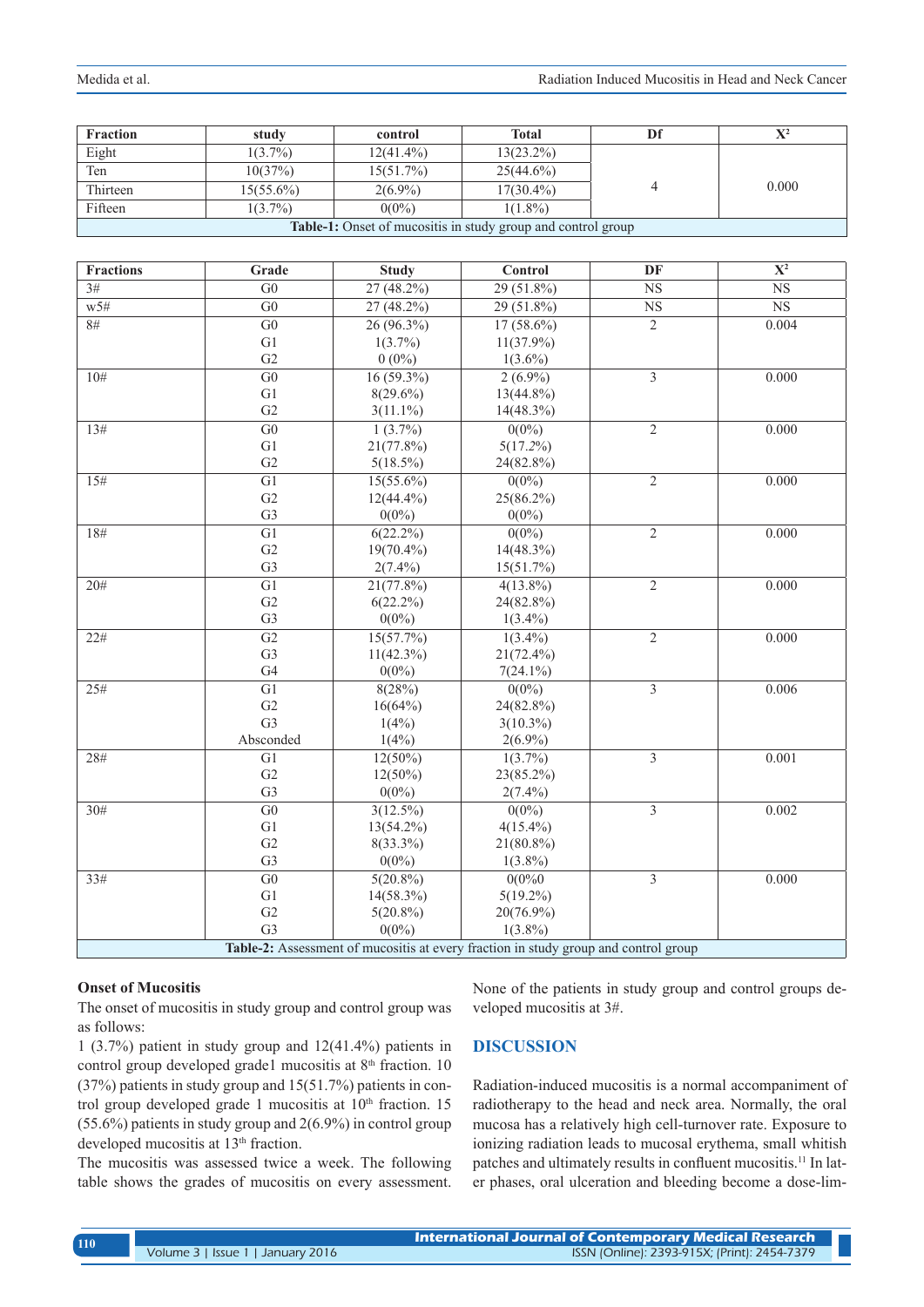| <b>Fraction</b>                                              | study        | control      | Total        | Df |       |  |
|--------------------------------------------------------------|--------------|--------------|--------------|----|-------|--|
| Eight                                                        | $1(3.7\%)$   | $12(41.4\%)$ | $13(23.2\%)$ |    |       |  |
| Ten                                                          | 10(37%)      | $15(51.7\%)$ | $25(44.6\%)$ |    |       |  |
| Thirteen                                                     | $15(55.6\%)$ | $2(6.9\%)$   | $17(30.4\%)$ |    | 0.000 |  |
| Fifteen                                                      | $1(3.7\%)$   | $0(0\%)$     | $1(1.8\%)$   |    |       |  |
| Table-1: Onset of mucositis in study group and control group |              |              |              |    |       |  |

| <b>Fractions</b>                                                                    | Grade           | <b>Study</b> | Control      | DF                        | $\overline{\mathbf{X}^2}$ |
|-------------------------------------------------------------------------------------|-----------------|--------------|--------------|---------------------------|---------------------------|
| 3#                                                                                  | G <sub>0</sub>  | 27 (48.2%)   | 29 (51.8%)   | NS                        | $_{\rm NS}$               |
| W5#                                                                                 | $\overline{G0}$ | 27 (48.2%)   | $29(51.8\%)$ | $\overline{\text{NS}}$    | $\overline{\text{NS}}$    |
| $\overline{8#}$                                                                     | $\overline{G0}$ | $26(96.3\%)$ | $17(58.6\%)$ | $\overline{2}$            | 0.004                     |
|                                                                                     | G1              | $1(3.7\%)$   | $11(37.9\%)$ |                           |                           |
|                                                                                     | G <sub>2</sub>  | $0(0\%)$     | $1(3.6\%)$   |                           |                           |
| 10#                                                                                 | $\overline{G0}$ | $16(59.3\%)$ | $2(6.9\%)$   | $\overline{\overline{3}}$ | 0.000                     |
|                                                                                     | G1              | $8(29.6\%)$  | $13(44.8\%)$ |                           |                           |
|                                                                                     | G2              | $3(11.1\%)$  | $14(48.3\%)$ |                           |                           |
| 13#                                                                                 | G <sub>0</sub>  | $1(3.7\%)$   | $0(0\%)$     | $\overline{2}$            | 0.000                     |
|                                                                                     | G1              | 21(77.8%)    | $5(17.2\%)$  |                           |                           |
|                                                                                     | G2              | $5(18.5\%)$  | 24(82.8%)    |                           |                           |
| 15#                                                                                 | $\overline{G1}$ | $15(55.6\%)$ | $0(0\%)$     | $\overline{2}$            | 0.000                     |
|                                                                                     | G2              | $12(44.4\%)$ | $25(86.2\%)$ |                           |                           |
|                                                                                     | G <sub>3</sub>  | $0(0\%)$     | $0(0\%)$     |                           |                           |
| 18#                                                                                 | G1              | $6(22.2\%)$  | $0(0\%)$     | $\overline{2}$            | 0.000                     |
|                                                                                     | G2              | 19(70.4%)    | $14(48.3\%)$ |                           |                           |
|                                                                                     | G <sub>3</sub>  | $2(7.4\%)$   | 15(51.7%)    |                           |                           |
| 20#                                                                                 | $\overline{G1}$ | $21(77.8\%)$ | $4(13.8\%)$  | $\overline{2}$            | 0.000                     |
|                                                                                     | G2              | $6(22.2\%)$  | 24(82.8%)    |                           |                           |
|                                                                                     | G <sub>3</sub>  | $0(0\%)$     | $1(3.4\%)$   |                           |                           |
| 22#                                                                                 | G2              | 15(57.7%)    | $1(3.4\%)$   | $\overline{2}$            | 0.000                     |
|                                                                                     | G <sub>3</sub>  | $11(42.3\%)$ | $21(72.4\%)$ |                           |                           |
|                                                                                     | G4              | $0(0\%)$     | $7(24.1\%)$  |                           |                           |
| 25#                                                                                 | G1              | 8(28%)       | $0(0\%)$     | $\overline{\mathbf{3}}$   | 0.006                     |
|                                                                                     | G <sub>2</sub>  | 16(64%)      | 24(82.8%)    |                           |                           |
|                                                                                     | G <sub>3</sub>  | 1(4%)        | $3(10.3\%)$  |                           |                           |
|                                                                                     | Absconded       | $1(4\%)$     | $2(6.9\%)$   |                           |                           |
| 28#                                                                                 | G1              | $12(50\%)$   | $1(3.7\%)$   | $\overline{3}$            | 0.001                     |
|                                                                                     | G2              | $12(50\%)$   | 23(85.2%)    |                           |                           |
|                                                                                     | G <sub>3</sub>  | $0(0\%)$     | $2(7.4\%)$   |                           |                           |
| 30#                                                                                 | $\overline{G0}$ | $3(12.5\%)$  | $0(0\%)$     | $\overline{3}$            | 0.002                     |
|                                                                                     | G1              | $13(54.2\%)$ | $4(15.4\%)$  |                           |                           |
|                                                                                     | G2              | $8(33.3\%)$  | $21(80.8\%)$ |                           |                           |
|                                                                                     | G <sub>3</sub>  | $0(0\%)$     | $1(3.8\%)$   |                           |                           |
| 33#                                                                                 | G <sub>0</sub>  | $5(20.8\%)$  | 0(0%0)       | 3                         | 0.000                     |
|                                                                                     | G1              | $14(58.3\%)$ | $5(19.2\%)$  |                           |                           |
|                                                                                     | G2              | $5(20.8\%)$  | $20(76.9\%)$ |                           |                           |
|                                                                                     | G <sub>3</sub>  | $0(0\%)$     | $1(3.8\%)$   |                           |                           |
| Table-2: Assessment of mucositis at every fraction in study group and control group |                 |              |              |                           |                           |

#### **Onset of Mucositis**

The onset of mucositis in study group and control group was as follows:

1 (3.7%) patient in study group and 12(41.4%) patients in control group developed grade1 mucositis at 8<sup>th</sup> fraction. 10 (37%) patients in study group and 15(51.7%) patients in control group developed grade 1 mucositis at  $10<sup>th</sup>$  fraction. 15 (55.6%) patients in study group and 2(6.9%) in control group developed mucositis at 13<sup>th</sup> fraction.

The mucositis was assessed twice a week. The following table shows the grades of mucositis on every assessment. None of the patients in study group and control groups developed mucositis at 3#.

# **DISCUSSION**

Radiation-induced mucositis is a normal accompaniment of radiotherapy to the head and neck area. Normally, the oral mucosa has a relatively high cell-turnover rate. Exposure to ionizing radiation leads to mucosal erythema, small whitish patches and ultimately results in confluent mucositis.<sup>11</sup> In later phases, oral ulceration and bleeding become a dose-lim-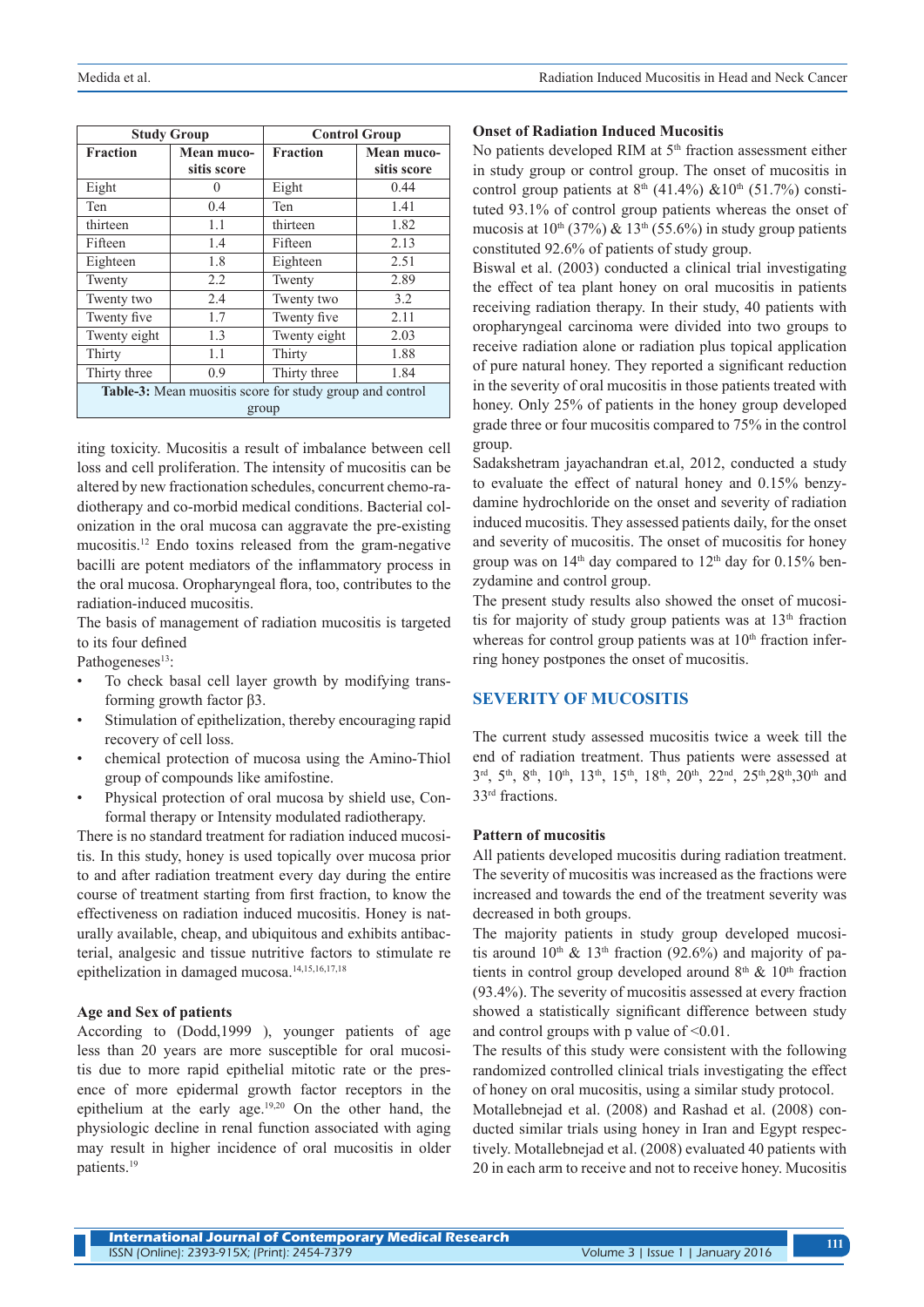|                                                          | <b>Study Group</b> | <b>Control Group</b> |             |  |  |  |
|----------------------------------------------------------|--------------------|----------------------|-------------|--|--|--|
| <b>Fraction</b>                                          | Mean muco-         | <b>Fraction</b>      | Mean muco-  |  |  |  |
|                                                          | sitis score        |                      | sitis score |  |  |  |
| Eight                                                    | 0                  | Eight                | 0.44        |  |  |  |
| Ten                                                      | 0.4                | Ten                  | 1.41        |  |  |  |
| thirteen                                                 | 1.1                | thirteen             | 1.82        |  |  |  |
| Fifteen                                                  | 1.4                | Fifteen              | 2.13        |  |  |  |
| Eighteen                                                 | 1.8                | Eighteen             | 2.51        |  |  |  |
| Twenty                                                   | 2.2                | Twenty               | 2.89        |  |  |  |
| Twenty two                                               | 2.4                | Twenty two           | 3.2         |  |  |  |
| Twenty five                                              | 1.7                | Twenty five          | 2.11        |  |  |  |
| Twenty eight                                             | 1.3                | Twenty eight         | 2.03        |  |  |  |
| Thirty                                                   | 1.1                | Thirty               | 1.88        |  |  |  |
| Thirty three                                             | 0.9                | Thirty three         | 1.84        |  |  |  |
| Table-3: Mean muositis score for study group and control |                    |                      |             |  |  |  |
| group                                                    |                    |                      |             |  |  |  |

iting toxicity. Mucositis a result of imbalance between cell loss and cell proliferation. The intensity of mucositis can be altered by new fractionation schedules, concurrent chemo-radiotherapy and co-morbid medical conditions. Bacterial colonization in the oral mucosa can aggravate the pre-existing mucositis.12 Endo toxins released from the gram-negative bacilli are potent mediators of the inflammatory process in the oral mucosa. Oropharyngeal flora, too, contributes to the radiation-induced mucositis.

The basis of management of radiation mucositis is targeted to its four defined

Pathogeneses<sup>13</sup>:

- To check basal cell layer growth by modifying transforming growth factor β3.
- Stimulation of epithelization, thereby encouraging rapid recovery of cell loss.
- chemical protection of mucosa using the Amino-Thiol group of compounds like amifostine.
- Physical protection of oral mucosa by shield use, Conformal therapy or Intensity modulated radiotherapy.

There is no standard treatment for radiation induced mucositis. In this study, honey is used topically over mucosa prior to and after radiation treatment every day during the entire course of treatment starting from first fraction, to know the effectiveness on radiation induced mucositis. Honey is naturally available, cheap, and ubiquitous and exhibits antibacterial, analgesic and tissue nutritive factors to stimulate re epithelization in damaged mucosa.14,15,16,17,18

### **Age and Sex of patients**

According to (Dodd,1999 ), younger patients of age less than 20 years are more susceptible for oral mucositis due to more rapid epithelial mitotic rate or the presence of more epidermal growth factor receptors in the epithelium at the early age.19,20 On the other hand, the physiologic decline in renal function associated with aging may result in higher incidence of oral mucositis in older patients.19

### **Onset of Radiation Induced Mucositis**

No patients developed RIM at  $5<sup>th</sup>$  fraction assessment either in study group or control group. The onset of mucositis in control group patients at  $8<sup>th</sup>$  (41.4%)  $&810<sup>th</sup>$  (51.7%) constituted 93.1% of control group patients whereas the onset of mucosis at  $10^{th}$  (37%) &  $13^{th}$  (55.6%) in study group patients constituted 92.6% of patients of study group.

Biswal et al. (2003) conducted a clinical trial investigating the effect of tea plant honey on oral mucositis in patients receiving radiation therapy. In their study, 40 patients with oropharyngeal carcinoma were divided into two groups to receive radiation alone or radiation plus topical application of pure natural honey. They reported a significant reduction in the severity of oral mucositis in those patients treated with honey. Only 25% of patients in the honey group developed grade three or four mucositis compared to 75% in the control group.

Sadakshetram jayachandran et.al, 2012, conducted a study to evaluate the effect of natural honey and 0.15% benzydamine hydrochloride on the onset and severity of radiation induced mucositis. They assessed patients daily, for the onset and severity of mucositis. The onset of mucositis for honey group was on  $14<sup>th</sup>$  day compared to  $12<sup>th</sup>$  day for 0.15% benzydamine and control group.

The present study results also showed the onset of mucositis for majority of study group patients was at  $13<sup>th</sup>$  fraction whereas for control group patients was at  $10<sup>th</sup>$  fraction inferring honey postpones the onset of mucositis.

## **SEVERITY OF MUCOSITIS**

The current study assessed mucositis twice a week till the end of radiation treatment. Thus patients were assessed at 3rd, 5th, 8th, 10th, 13th, 15th, 18th, 20th, 22nd, 25th,28th,30th and 33rd fractions.

#### **Pattern of mucositis**

All patients developed mucositis during radiation treatment. The severity of mucositis was increased as the fractions were increased and towards the end of the treatment severity was decreased in both groups.

The majority patients in study group developed mucositis around  $10<sup>th</sup> \& 13<sup>th</sup>$  fraction (92.6%) and majority of patients in control group developed around  $8<sup>th</sup>$  &  $10<sup>th</sup>$  fraction (93.4%). The severity of mucositis assessed at every fraction showed a statistically significant difference between study and control groups with p value of  $\leq 0.01$ .

The results of this study were consistent with the following randomized controlled clinical trials investigating the effect of honey on oral mucositis, using a similar study protocol.

Motallebnejad et al. (2008) and Rashad et al. (2008) conducted similar trials using honey in Iran and Egypt respectively. Motallebnejad et al. (2008) evaluated 40 patients with 20 in each arm to receive and not to receive honey. Mucositis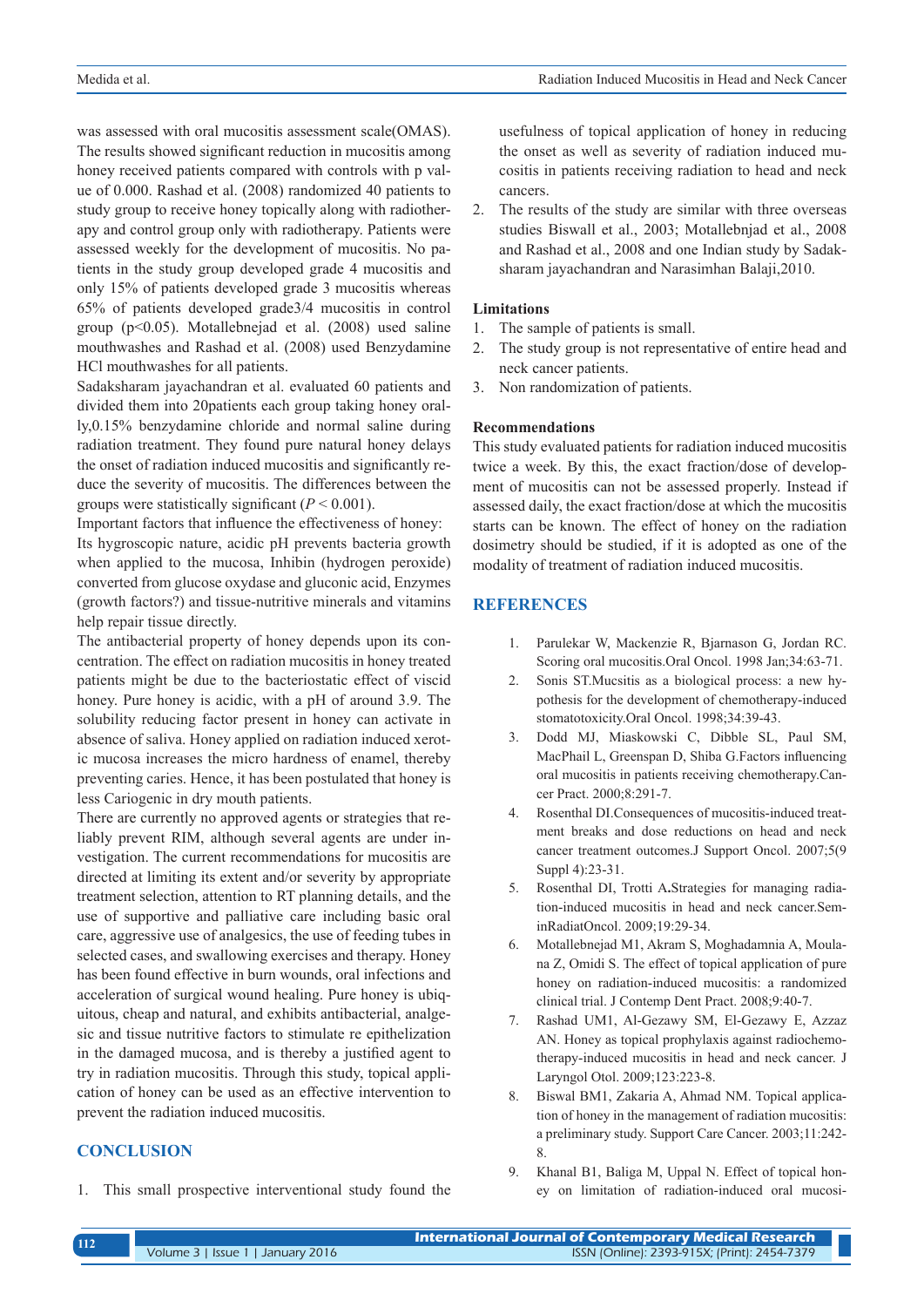was assessed with oral mucositis assessment scale(OMAS). The results showed significant reduction in mucositis among honey received patients compared with controls with p value of 0.000. Rashad et al. (2008) randomized 40 patients to study group to receive honey topically along with radiotherapy and control group only with radiotherapy. Patients were assessed weekly for the development of mucositis. No patients in the study group developed grade 4 mucositis and only 15% of patients developed grade 3 mucositis whereas 65% of patients developed grade3/4 mucositis in control group (p<0.05). Motallebnejad et al. (2008) used saline mouthwashes and Rashad et al. (2008) used Benzydamine HCl mouthwashes for all patients.

Sadaksharam jayachandran et al. evaluated 60 patients and divided them into 20patients each group taking honey orally,0.15% benzydamine chloride and normal saline during radiation treatment. They found pure natural honey delays the onset of radiation induced mucositis and significantly reduce the severity of mucositis. The differences between the groups were statistically significant  $(P < 0.001)$ .

Important factors that influence the effectiveness of honey:

Its hygroscopic nature, acidic pH prevents bacteria growth when applied to the mucosa, Inhibin (hydrogen peroxide) converted from glucose oxydase and gluconic acid, Enzymes (growth factors?) and tissue-nutritive minerals and vitamins help repair tissue directly.

The antibacterial property of honey depends upon its concentration. The effect on radiation mucositis in honey treated patients might be due to the bacteriostatic effect of viscid honey. Pure honey is acidic, with a pH of around 3.9. The solubility reducing factor present in honey can activate in absence of saliva. Honey applied on radiation induced xerotic mucosa increases the micro hardness of enamel, thereby preventing caries. Hence, it has been postulated that honey is less Cariogenic in dry mouth patients.

There are currently no approved agents or strategies that reliably prevent RIM, although several agents are under investigation. The current recommendations for mucositis are directed at limiting its extent and/or severity by appropriate treatment selection, attention to RT planning details, and the use of supportive and palliative care including basic oral care, aggressive use of analgesics, the use of feeding tubes in selected cases, and swallowing exercises and therapy. Honey has been found effective in burn wounds, oral infections and acceleration of surgical wound healing. Pure honey is ubiquitous, cheap and natural, and exhibits antibacterial, analgesic and tissue nutritive factors to stimulate re epithelization in the damaged mucosa, and is thereby a justified agent to try in radiation mucositis. Through this study, topical application of honey can be used as an effective intervention to prevent the radiation induced mucositis.

# **CONCLUSION**

1. This small prospective interventional study found the

usefulness of topical application of honey in reducing the onset as well as severity of radiation induced mucositis in patients receiving radiation to head and neck cancers.

2. The results of the study are similar with three overseas studies Biswall et al., 2003; Motallebnjad et al., 2008 and Rashad et al., 2008 and one Indian study by Sadaksharam jayachandran and Narasimhan Balaji,2010.

#### **Limitations**

- 1. The sample of patients is small.
- 2. The study group is not representative of entire head and neck cancer patients.
- 3. Non randomization of patients.

#### **Recommendations**

This study evaluated patients for radiation induced mucositis twice a week. By this, the exact fraction/dose of development of mucositis can not be assessed properly. Instead if assessed daily, the exact fraction/dose at which the mucositis starts can be known. The effect of honey on the radiation dosimetry should be studied, if it is adopted as one of the modality of treatment of radiation induced mucositis.

## **REFERENCES**

- 1. Parulekar W, Mackenzie R, Bjarnason G, Jordan RC. Scoring oral mucositis.Oral Oncol. 1998 Jan;34:63-71.
- 2. Sonis ST.Mucsitis as a biological process: a new hypothesis for the development of chemotherapy-induced stomatotoxicity.Oral Oncol. 1998;34:39-43.
- 3. Dodd MJ, Miaskowski C, Dibble SL, Paul SM, MacPhail L, Greenspan D, Shiba G.Factors influencing oral mucositis in patients receiving chemotherapy.Cancer Pract. 2000;8:291-7.
- 4. Rosenthal DI.Consequences of mucositis-induced treatment breaks and dose reductions on head and neck cancer treatment outcomes.J Support Oncol. 2007;5(9 Suppl 4):23-31.
- 5. Rosenthal DI, Trotti A**.**Strategies for managing radiation-induced mucositis in head and neck cancer.SeminRadiatOncol. 2009;19:29-34.
- 6. Motallebnejad M1, Akram S, Moghadamnia A, Moulana Z, Omidi S. The effect of topical application of pure honey on radiation-induced mucositis: a randomized clinical trial. J Contemp Dent Pract. 2008;9:40-7.
- 7. Rashad UM1, Al-Gezawy SM, El-Gezawy E, Azzaz AN. Honey as topical prophylaxis against radiochemotherapy-induced mucositis in head and neck cancer. J Laryngol Otol. 2009;123:223-8.
- 8. Biswal BM1, Zakaria A, Ahmad NM. Topical application of honey in the management of radiation mucositis: a preliminary study. Support Care Cancer. 2003;11:242- 8.
- 9. Khanal B1, Baliga M, Uppal N. Effect of topical honey on limitation of radiation-induced oral mucosi-